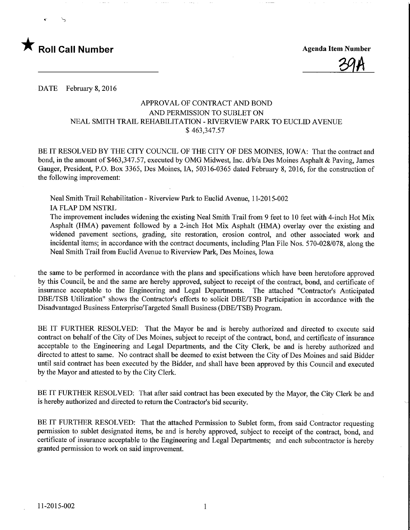

**Agenda Item Number** 

DATE February 8, 2016

## APPROVAL OF CONTRACT AND BOND AND PERMISSION TO SUBLET ON NEAL SMITH TRAIL REHABILITATION - RTVERVIEW PARK TO EUCLID AVENUE \$ 463,347.57

BE IT RESOLVED BY THE CITY COUNCIL OF THE CITY OF DES MOINES, IOWA: That the contract and bond, in the amount of \$463,347.57, executed by OMG Midwest, Inc. d/b/a Des Moines Asphalt & Paving, James Gauger, President, P.O. Box 3365, Des Moines, IA, 50316-0365 dated February 8, 2016, for the construction of the following improvement:

Neal Smith Trail Rehabilitation - Riverview Park to Euclid Avenue, 11-2015-002 **IA FLAP DM NSTRL** 

The improvement includes widening the existing Neal Smith Trail from 9 feet to 10 feet with 4-inch Hot Mix Asphalt (HMA) pavement followed by a 2-inch Hot Mix Asphalt (HMA) overlay over the existing and widened pavement sections, grading, site restoration, erosion control, and other associated work and incidental items; in accordance with the contract documents, including Plan File Nos. 570-028/078, along the Neal Smith Trail from Euclid Avenue to Riverview Park, Des Moines, Iowa

the same to be performed in accordance with the plans and specifications which have been heretofore approved by this Council, be and the same are hereby approved, subject to receipt of the contract, bond, and certificate of insurance acceptable to the Engineering and Legal Departments. The attached "Contractor's Anticipated DBE/TSB Utilization" shows the Contractor's efforts to solicit DBE/TSB Participation in accordance with the Disadvantaged Business Enterprise/Targeted Small Business (DBE/TSB) Program.

BE IT FURTHER RESOLVED: That the Mayor be and is hereby authorized and directed to execute said contract on behalf of the City of Des Moines, subject to receipt of the contract, bond, and certificate of insurance acceptable to the Engineering and Legal Departments, and the City Clerk, be and is hereby authorized and directed to attest to same. No contract shall be deemed to exist between the City of Des Moines and said Bidder until said contract has been executed by the Bidder, and shall have been approved by this Council and executed by the Mayor and attested to by the City Clerk.

BE IT FURTHER RESOLVED: That after said contract has been executed by the Mayor, the City Clerk be and is hereby authorized and directed to return the Contractor's bid security.

BE IT FURTHER RESOLVED: That the attached Permission to Sublet form, from said Contractor requesting permission to sublet designated items, be and is hereby approved, subject to receipt of the contract, bond, and certificate of insurance acceptable to the Engineering and Legal Departments; and each subcontractor is hereby granted permission to work on said improvement.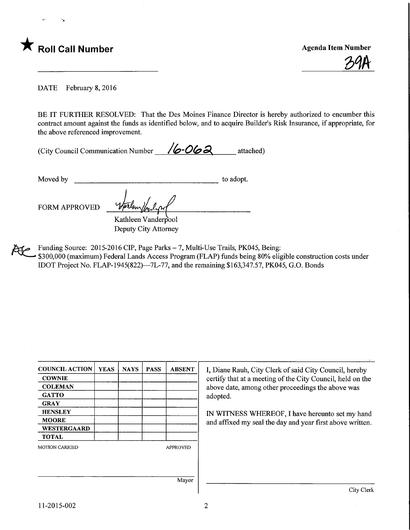

39A

DATE February 8, 2016

BE IT FURTHER RESOLVED: That the Des Moines Finance Director is hereby authorized to encumber this contract amount against the funds as identified below, and to acquire Builder's Risk Insurance, if appropriate, for the above referenced improvement.

(City Council Communication Number  $\sqrt{6.062}$  attached)

Moved by to adopt.

FORM APPROVED ^

Kathleen Vanderpool Deputy City Attorney

Funding Source: 2015-2016 CIP, Page Parks - 7, Multi-Use Trails, PK045, Being:

\$300,000 (maximum) Federal Lands Access Program (FLAP) funds being 80% eligible construction costs under IDOT Project No. FLAP-1945(822)—7L-77, and the remaining  $$163,347.57, PK045, G.O. Bonds$ 

| <b>COUNCIL ACTION</b> | <b>YEAS</b> | <b>NAYS</b> | <b>PASS</b> | <b>ABSENT</b>   |
|-----------------------|-------------|-------------|-------------|-----------------|
| <b>COWNIE</b>         |             |             |             |                 |
| <b>COLEMAN</b>        |             |             |             |                 |
| <b>GATTO</b>          |             |             |             |                 |
| <b>GRAY</b>           |             |             |             |                 |
| <b>HENSLEY</b>        |             |             |             |                 |
| <b>MOORE</b>          |             |             |             |                 |
| WESTERGAARD           |             |             |             |                 |
| <b>TOTAL</b>          |             |             |             |                 |
| <b>MOTION CARRIED</b> |             |             |             | <b>APPROVED</b> |
|                       |             |             |             |                 |
|                       |             |             |             |                 |
|                       |             |             |             |                 |
|                       |             |             |             | Mayor           |

I, Diane Rauh, City Clerk of said City Council, hereby certify that at a meeting of the City Council, held on the above date, among other proceedings the above was adopted.

IN WITNESS WHEREOF, I have hereunto set my hand and affixed my seal the day and year first above written.

11-2015-002